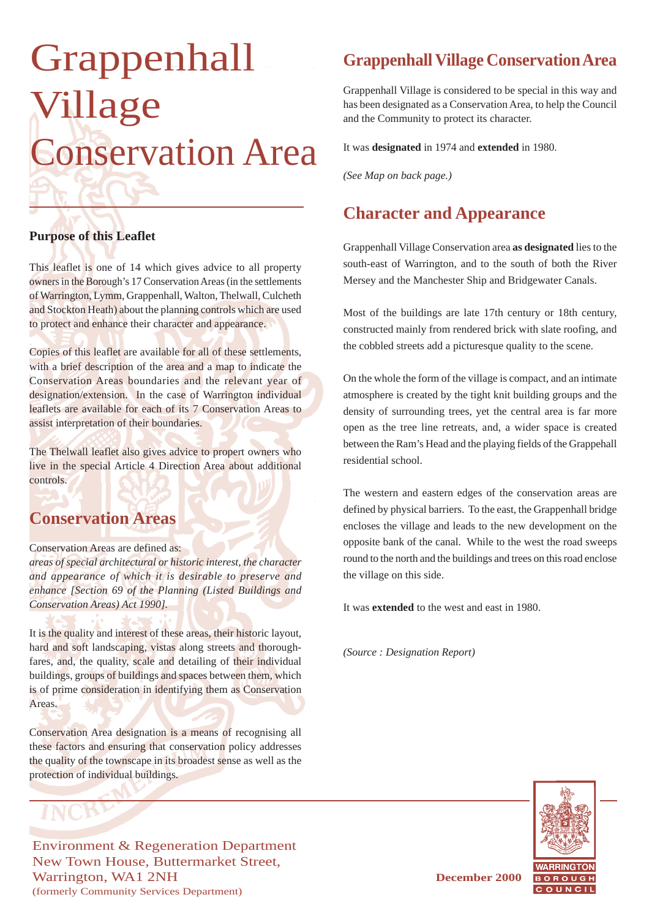# Grappenhall Village Conservation Area

#### **Purpose of this Leaflet**

This leaflet is one of 14 which gives advice to all property owners in the Borough's 17 Conservation Areas (in the settlements of Warrington, Lymm, Grappenhall, Walton, Thelwall, Culcheth and Stockton Heath) about the planning controls which are used to protect and enhance their character and appearance.

Copies of this leaflet are available for all of these settlements, with a brief description of the area and a map to indicate the Conservation Areas boundaries and the relevant year of designation/extension. In the case of Warrington individual leaflets are available for each of its 7 Conservation Areas to assist interpretation of their boundaries.

The Thelwall leaflet also gives advice to propert owners who live in the special Article 4 Direction Area about additional controls.

#### **Conservation Areas**

#### Conservation Areas are defined as:

*areas of special architectural or historic interest, the character and appearance of which it is desirable to preserve and enhance [Section 69 of the Planning (Listed Buildings and Conservation Areas) Act 1990].*

It is the quality and interest of these areas, their historic layout, hard and soft landscaping, vistas along streets and thoroughfares, and, the quality, scale and detailing of their individual buildings, groups of buildings and spaces between them, which is of prime consideration in identifying them as Conservation Areas.

Conservation Area designation is a means of recognising all these factors and ensuring that conservation policy addresses the quality of the townscape in its broadest sense as well as the protection of individual buildings.

Environment & Regeneration Department New Town House, Buttermarket Street, Warrington, WA1 2NH **December 2000** (formerly Community Services Department)

# **Grappenhall Village Conservation Area**

Grappenhall Village is considered to be special in this way and has been designated as a Conservation Area, to help the Council and the Community to protect its character.

It was **designated** in 1974 and **extended** in 1980.

*(See Map on back page.)*

# **Character and Appearance**

Grappenhall Village Conservation area **as designated** lies to the south-east of Warrington, and to the south of both the River Mersey and the Manchester Ship and Bridgewater Canals.

Most of the buildings are late 17th century or 18th century, constructed mainly from rendered brick with slate roofing, and the cobbled streets add a picturesque quality to the scene.

On the whole the form of the village is compact, and an intimate atmosphere is created by the tight knit building groups and the density of surrounding trees, yet the central area is far more open as the tree line retreats, and, a wider space is created between the Ram's Head and the playing fields of the Grappehall residential school.

The western and eastern edges of the conservation areas are defined by physical barriers. To the east, the Grappenhall bridge encloses the village and leads to the new development on the opposite bank of the canal. While to the west the road sweeps round to the north and the buildings and trees on this road enclose the village on this side.

It was **extended** to the west and east in 1980.

*(Source : Designation Report)*

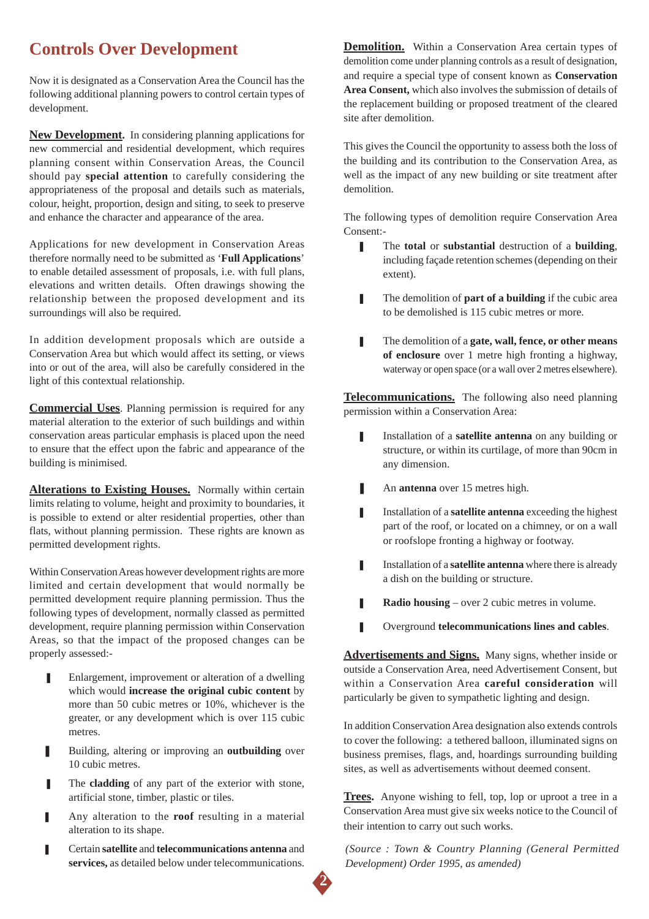# **Controls Over Development**

Now it is designated as a Conservation Area the Council has the following additional planning powers to control certain types of development.

**New Development.** In considering planning applications for new commercial and residential development, which requires planning consent within Conservation Areas, the Council should pay **special attention** to carefully considering the appropriateness of the proposal and details such as materials, colour, height, proportion, design and siting, to seek to preserve and enhance the character and appearance of the area.

Applications for new development in Conservation Areas therefore normally need to be submitted as '**Full Applications**' to enable detailed assessment of proposals, i.e. with full plans, elevations and written details. Often drawings showing the relationship between the proposed development and its surroundings will also be required.

In addition development proposals which are outside a Conservation Area but which would affect its setting, or views into or out of the area, will also be carefully considered in the light of this contextual relationship.

**Commercial Uses**. Planning permission is required for any material alteration to the exterior of such buildings and within conservation areas particular emphasis is placed upon the need to ensure that the effect upon the fabric and appearance of the building is minimised.

**Alterations to Existing Houses.** Normally within certain limits relating to volume, height and proximity to boundaries, it is possible to extend or alter residential properties, other than flats, without planning permission. These rights are known as permitted development rights.

Within Conservation Areas however development rights are more limited and certain development that would normally be permitted development require planning permission. Thus the following types of development, normally classed as permitted development, require planning permission within Conservation Areas, so that the impact of the proposed changes can be properly assessed:-

- Enlargement, improvement or alteration of a dwelling which would **increase the original cubic content** by more than 50 cubic metres or 10%, whichever is the greater, or any development which is over 115 cubic metres.
- Building, altering or improving an **outbuilding** over 10 cubic metres.
- The **cladding** of any part of the exterior with stone, artificial stone, timber, plastic or tiles.
- **I** Any alteration to the **roof** resulting in a material alteration to its shape.
- ❚ Certain **satellite** and **telecommunications antenna** and **services,** as detailed below under telecommunications.

**Demolition.** Within a Conservation Area certain types of demolition come under planning controls as a result of designation, and require a special type of consent known as **Conservation Area Consent,** which also involves the submission of details of the replacement building or proposed treatment of the cleared site after demolition.

This gives the Council the opportunity to assess both the loss of the building and its contribution to the Conservation Area, as well as the impact of any new building or site treatment after demolition.

The following types of demolition require Conservation Area Consent:-

- The **total** or **substantial** destruction of a **building**, including façade retention schemes (depending on their extent).
- **■** The demolition of **part of a building** if the cubic area to be demolished is 115 cubic metres or more.
- ❚ The demolition of a **gate, wall, fence, or other means of enclosure** over 1 metre high fronting a highway, waterway or open space (or a wall over 2 metres elsewhere).

**Telecommunications.** The following also need planning permission within a Conservation Area:

- **I** Installation of a **satellite antenna** on any building or structure, or within its curtilage, of more than 90cm in any dimension.
- An **antenna** over 15 metres high.
- **I** Installation of a **satellite antenna** exceeding the highest part of the roof, or located on a chimney, or on a wall or roofslope fronting a highway or footway.
- **I** Installation of a **satellite antenna** where there is already a dish on the building or structure.
- **■** Radio housing over 2 cubic metres in volume.
- ❚ Overground **telecommunications lines and cables**.

**Advertisements and Signs.** Many signs, whether inside or outside a Conservation Area, need Advertisement Consent, but within a Conservation Area **careful consideration** will particularly be given to sympathetic lighting and design.

In addition Conservation Area designation also extends controls to cover the following: a tethered balloon, illuminated signs on business premises, flags, and, hoardings surrounding building sites, as well as advertisements without deemed consent.

**Trees.** Anyone wishing to fell, top, lop or uproot a tree in a Conservation Area must give six weeks notice to the Council of their intention to carry out such works.

*(Source : Town & Country Planning (General Permitted Development) Order 1995, as amended)*

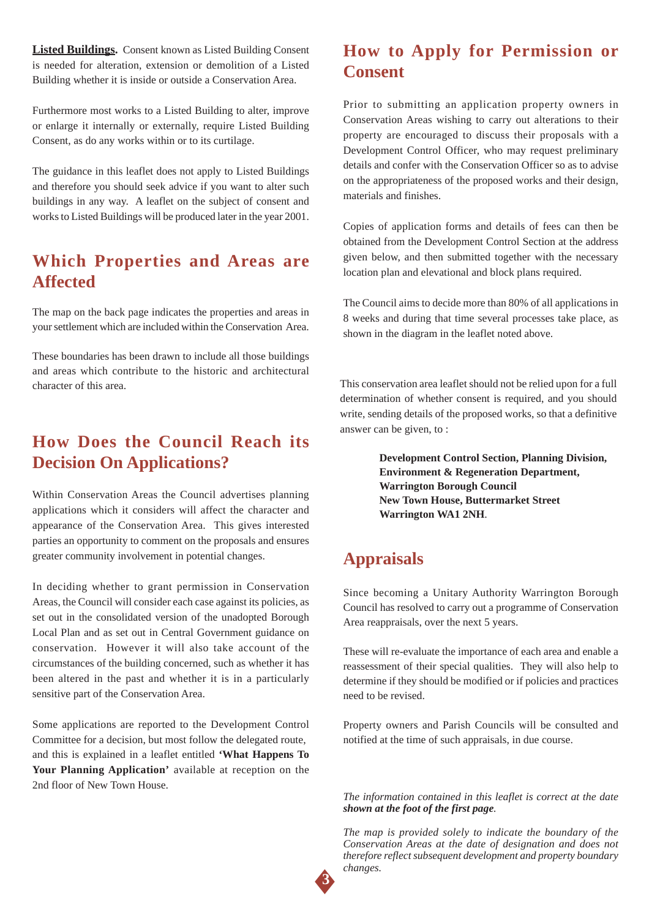**Listed Buildings.** Consent known as Listed Building Consent is needed for alteration, extension or demolition of a Listed Building whether it is inside or outside a Conservation Area.

Furthermore most works to a Listed Building to alter, improve or enlarge it internally or externally, require Listed Building Consent, as do any works within or to its curtilage.

The guidance in this leaflet does not apply to Listed Buildings and therefore you should seek advice if you want to alter such buildings in any way. A leaflet on the subject of consent and works to Listed Buildings will be produced later in the year 2001.

### **Which Properties and Areas are Affected**

The map on the back page indicates the properties and areas in your settlement which are included within the Conservation Area.

These boundaries has been drawn to include all those buildings and areas which contribute to the historic and architectural character of this area.

## **How Does the Council Reach its Decision On Applications?**

Within Conservation Areas the Council advertises planning applications which it considers will affect the character and appearance of the Conservation Area. This gives interested parties an opportunity to comment on the proposals and ensures greater community involvement in potential changes.

In deciding whether to grant permission in Conservation Areas, the Council will consider each case against its policies, as set out in the consolidated version of the unadopted Borough Local Plan and as set out in Central Government guidance on conservation. However it will also take account of the circumstances of the building concerned, such as whether it has been altered in the past and whether it is in a particularly sensitive part of the Conservation Area.

Some applications are reported to the Development Control Committee for a decision, but most follow the delegated route, and this is explained in a leaflet entitled **'What Happens To Your Planning Application'** available at reception on the 2nd floor of New Town House.

# **How to Apply for Permission or Consent**

Prior to submitting an application property owners in Conservation Areas wishing to carry out alterations to their property are encouraged to discuss their proposals with a Development Control Officer, who may request preliminary details and confer with the Conservation Officer so as to advise on the appropriateness of the proposed works and their design, materials and finishes.

Copies of application forms and details of fees can then be obtained from the Development Control Section at the address given below, and then submitted together with the necessary location plan and elevational and block plans required.

The Council aims to decide more than 80% of all applications in 8 weeks and during that time several processes take place, as shown in the diagram in the leaflet noted above.

This conservation area leaflet should not be relied upon for a full determination of whether consent is required, and you should write, sending details of the proposed works, so that a definitive answer can be given, to :

> **Development Control Section, Planning Division, Environment & Regeneration Department, Warrington Borough Council New Town House, Buttermarket Street Warrington WA1 2NH**.

# **Appraisals**

Since becoming a Unitary Authority Warrington Borough Council has resolved to carry out a programme of Conservation Area reappraisals, over the next 5 years.

These will re-evaluate the importance of each area and enable a reassessment of their special qualities. They will also help to determine if they should be modified or if policies and practices need to be revised.

Property owners and Parish Councils will be consulted and notified at the time of such appraisals, in due course.

*The information contained in this leaflet is correct at the date shown at the foot of the first page.*

*The map is provided solely to indicate the boundary of the Conservation Areas at the date of designation and does not therefore reflect subsequent development and property boundary changes.*